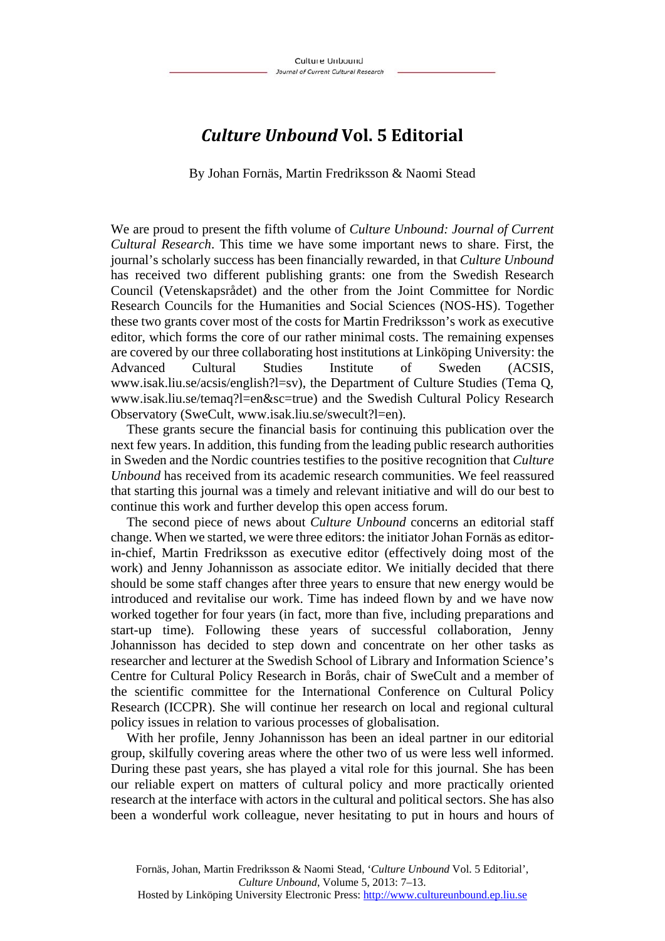## *Culture Unbound* **Vol. 5 Editorial**

By Johan Fornäs, Martin Fredriksson & Naomi Stead

We are proud to present the fifth volume of *Culture Unbound: Journal of Current Cultural Research*. This time we have some important news to share. First, the journal's scholarly success has been financially rewarded, in that *Culture Unbound* has received two different publishing grants: one from the Swedish Research Council (Vetenskapsrådet) and the other from the Joint Committee for Nordic Research Councils for the Humanities and Social Sciences (NOS-HS). Together these two grants cover most of the costs for Martin Fredriksson's work as executive editor, which forms the core of our rather minimal costs. The remaining expenses are covered by our three collaborating host institutions at Linköping University: the Advanced Cultural Studies Institute of Sweden (ACSIS, www.isak.liu.se/acsis/english?l=sv), the Department of Culture Studies (Tema Q, www.isak.liu.se/temaq?l=en&sc=true) and the Swedish Cultural Policy Research Observatory (SweCult, www.isak.liu.se/swecult?l=en).

These grants secure the financial basis for continuing this publication over the next few years. In addition, this funding from the leading public research authorities in Sweden and the Nordic countries testifies to the positive recognition that *Culture Unbound* has received from its academic research communities. We feel reassured that starting this journal was a timely and relevant initiative and will do our best to continue this work and further develop this open access forum.

The second piece of news about *Culture Unbound* concerns an editorial staff change. When we started, we were three editors: the initiator Johan Fornäs as editorin-chief, Martin Fredriksson as executive editor (effectively doing most of the work) and Jenny Johannisson as associate editor. We initially decided that there should be some staff changes after three years to ensure that new energy would be introduced and revitalise our work. Time has indeed flown by and we have now worked together for four years (in fact, more than five, including preparations and start-up time). Following these years of successful collaboration, Jenny Johannisson has decided to step down and concentrate on her other tasks as researcher and lecturer at the Swedish School of Library and Information Science's Centre for Cultural Policy Research in Borås, chair of SweCult and a member of the scientific committee for the International Conference on Cultural Policy Research (ICCPR). She will continue her research on local and regional cultural policy issues in relation to various processes of globalisation.

With her profile, Jenny Johannisson has been an ideal partner in our editorial group, skilfully covering areas where the other two of us were less well informed. During these past years, she has played a vital role for this journal. She has been our reliable expert on matters of cultural policy and more practically oriented research at the interface with actors in the cultural and political sectors. She has also been a wonderful work colleague, never hesitating to put in hours and hours of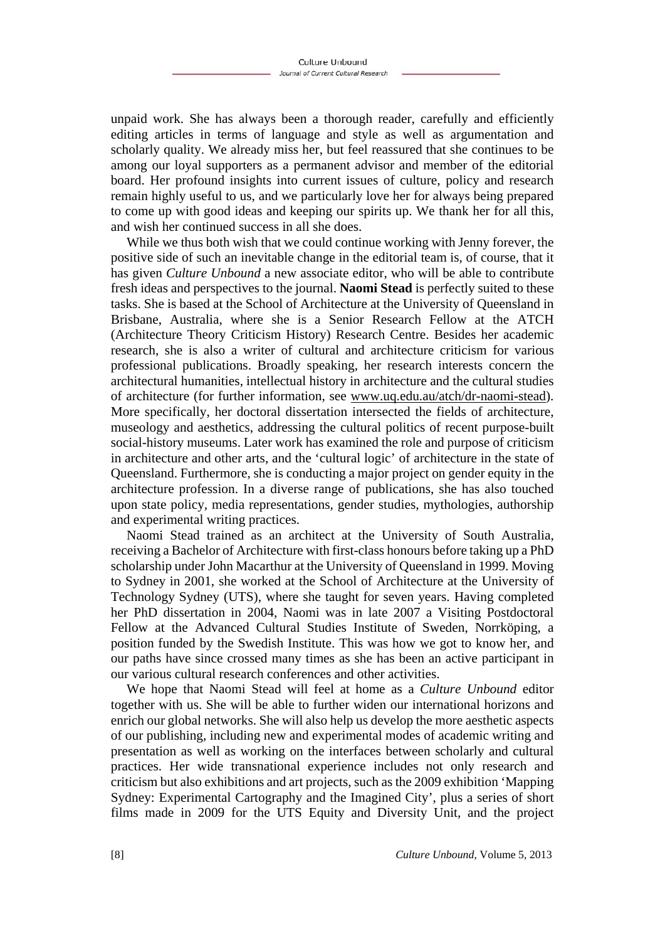unpaid work. She has always been a thorough reader, carefully and efficiently editing articles in terms of language and style as well as argumentation and scholarly quality. We already miss her, but feel reassured that she continues to be among our loyal supporters as a permanent advisor and member of the editorial board. Her profound insights into current issues of culture, policy and research remain highly useful to us, and we particularly love her for always being prepared to come up with good ideas and keeping our spirits up. We thank her for all this, and wish her continued success in all she does.

While we thus both wish that we could continue working with Jenny forever, the positive side of such an inevitable change in the editorial team is, of course, that it has given *Culture Unbound* a new associate editor, who will be able to contribute fresh ideas and perspectives to the journal. **Naomi Stead** is perfectly suited to these tasks. She is based at the School of Architecture at the University of Queensland in Brisbane, Australia, where she is a Senior Research Fellow at the ATCH (Architecture Theory Criticism History) Research Centre. Besides her academic research, she is also a writer of cultural and architecture criticism for various professional publications. Broadly speaking, her research interests concern the architectural humanities, intellectual history in architecture and the cultural studies of architecture (for further information, see www.uq.edu.au/atch/dr-naomi-stead). More specifically, her doctoral dissertation intersected the fields of architecture, museology and aesthetics, addressing the cultural politics of recent purpose-built social-history museums. Later work has examined the role and purpose of criticism in architecture and other arts, and the 'cultural logic' of architecture in the state of Queensland. Furthermore, she is conducting a major project on gender equity in the architecture profession. In a diverse range of publications, she has also touched upon state policy, media representations, gender studies, mythologies, authorship and experimental writing practices.

Naomi Stead trained as an architect at the University of South Australia, receiving a Bachelor of Architecture with first-class honours before taking up a PhD scholarship under John Macarthur at the University of Queensland in 1999. Moving to Sydney in 2001, she worked at the School of Architecture at the University of Technology Sydney (UTS), where she taught for seven years. Having completed her PhD dissertation in 2004, Naomi was in late 2007 a Visiting Postdoctoral Fellow at the Advanced Cultural Studies Institute of Sweden, Norrköping, a position funded by the Swedish Institute. This was how we got to know her, and our paths have since crossed many times as she has been an active participant in our various cultural research conferences and other activities.

We hope that Naomi Stead will feel at home as a *Culture Unbound* editor together with us. She will be able to further widen our international horizons and enrich our global networks. She will also help us develop the more aesthetic aspects of our publishing, including new and experimental modes of academic writing and presentation as well as working on the interfaces between scholarly and cultural practices. Her wide transnational experience includes not only research and criticism but also exhibitions and art projects, such as the 2009 exhibition 'Mapping Sydney: Experimental Cartography and the Imagined City', plus a series of short films made in 2009 for the UTS Equity and Diversity Unit, and the project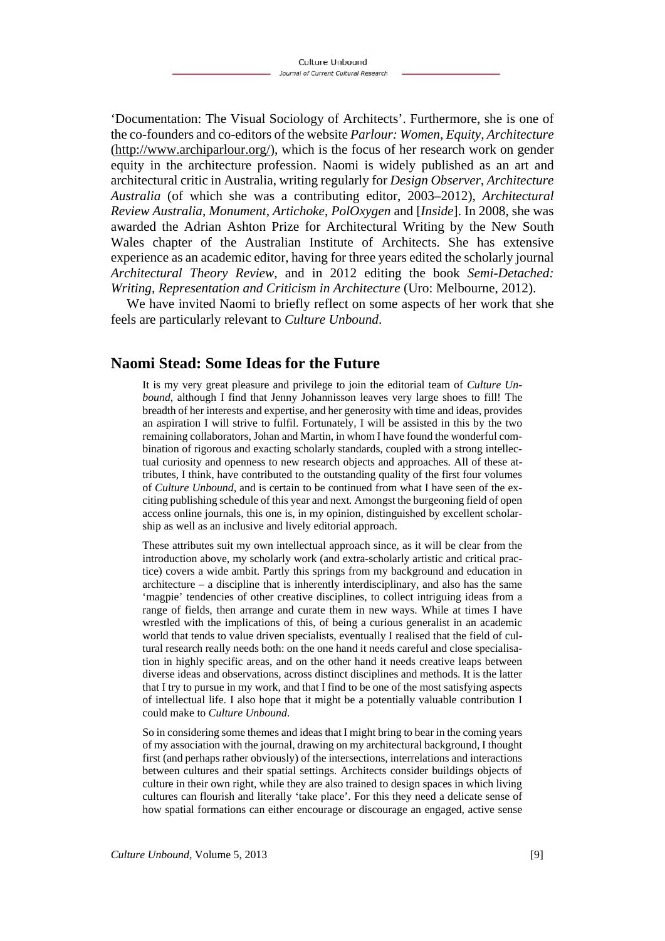'Documentation: The Visual Sociology of Architects'. Furthermore, she is one of the co-founders and co-editors of the website *Parlour: Women, Equity, Architecture*  (http://www.archiparlour.org/), which is the focus of her research work on gender equity in the architecture profession. Naomi is widely published as an art and architectural critic in Australia, writing regularly for *Design Observer*, *Architecture Australia* (of which she was a contributing editor, 2003–2012), *Architectural Review Australia*, *Monument*, *Artichoke*, *PolOxygen* and [*Inside*]. In 2008, she was awarded the Adrian Ashton Prize for Architectural Writing by the New South Wales chapter of the Australian Institute of Architects. She has extensive experience as an academic editor, having for three years edited the scholarly journal *Architectural Theory Review*, and in 2012 editing the book *Semi-Detached: Writing, Representation and Criticism in Architecture* (Uro: Melbourne, 2012).

We have invited Naomi to briefly reflect on some aspects of her work that she feels are particularly relevant to *Culture Unbound*.

## **Naomi Stead: Some Ideas for the Future**

It is my very great pleasure and privilege to join the editorial team of *Culture Unbound*, although I find that Jenny Johannisson leaves very large shoes to fill! The breadth of her interests and expertise, and her generosity with time and ideas, provides an aspiration I will strive to fulfil. Fortunately, I will be assisted in this by the two remaining collaborators, Johan and Martin, in whom I have found the wonderful combination of rigorous and exacting scholarly standards, coupled with a strong intellectual curiosity and openness to new research objects and approaches. All of these attributes, I think, have contributed to the outstanding quality of the first four volumes of *Culture Unbound*, and is certain to be continued from what I have seen of the exciting publishing schedule of this year and next*.* Amongst the burgeoning field of open access online journals, this one is, in my opinion, distinguished by excellent scholarship as well as an inclusive and lively editorial approach.

These attributes suit my own intellectual approach since, as it will be clear from the introduction above, my scholarly work (and extra-scholarly artistic and critical practice) covers a wide ambit. Partly this springs from my background and education in architecture – a discipline that is inherently interdisciplinary, and also has the same 'magpie' tendencies of other creative disciplines, to collect intriguing ideas from a range of fields, then arrange and curate them in new ways. While at times I have wrestled with the implications of this, of being a curious generalist in an academic world that tends to value driven specialists, eventually I realised that the field of cultural research really needs both: on the one hand it needs careful and close specialisation in highly specific areas, and on the other hand it needs creative leaps between diverse ideas and observations, across distinct disciplines and methods. It is the latter that I try to pursue in my work, and that I find to be one of the most satisfying aspects of intellectual life. I also hope that it might be a potentially valuable contribution I could make to *Culture Unbound*.

So in considering some themes and ideas that I might bring to bear in the coming years of my association with the journal, drawing on my architectural background, I thought first (and perhaps rather obviously) of the intersections, interrelations and interactions between cultures and their spatial settings. Architects consider buildings objects of culture in their own right, while they are also trained to design spaces in which living cultures can flourish and literally 'take place'. For this they need a delicate sense of how spatial formations can either encourage or discourage an engaged, active sense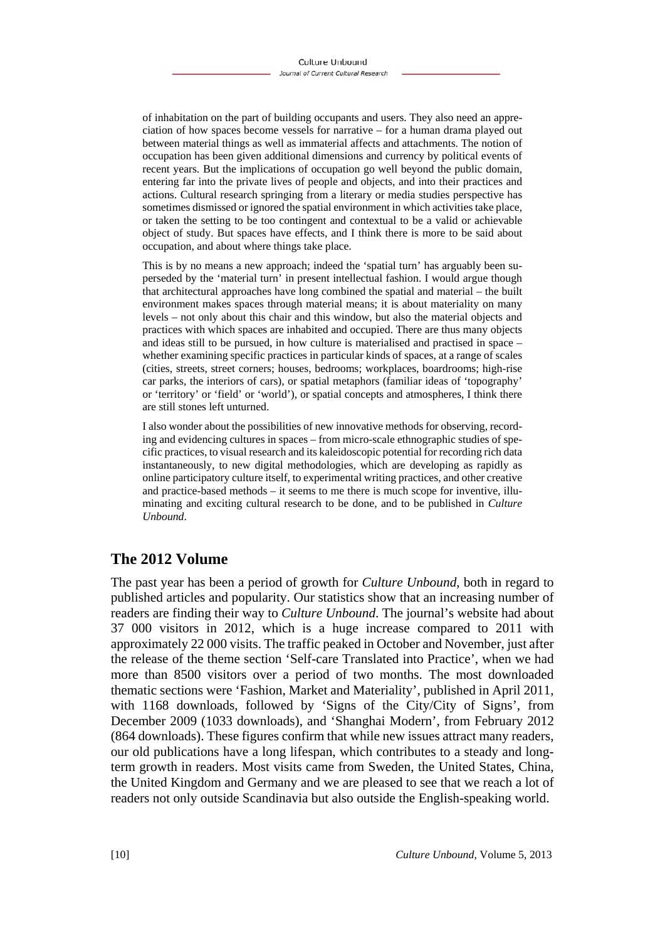of inhabitation on the part of building occupants and users. They also need an appreciation of how spaces become vessels for narrative – for a human drama played out between material things as well as immaterial affects and attachments. The notion of occupation has been given additional dimensions and currency by political events of recent years. But the implications of occupation go well beyond the public domain, entering far into the private lives of people and objects, and into their practices and actions. Cultural research springing from a literary or media studies perspective has sometimes dismissed or ignored the spatial environment in which activities take place, or taken the setting to be too contingent and contextual to be a valid or achievable object of study. But spaces have effects, and I think there is more to be said about occupation, and about where things take place.

This is by no means a new approach; indeed the 'spatial turn' has arguably been superseded by the 'material turn' in present intellectual fashion. I would argue though that architectural approaches have long combined the spatial and material – the built environment makes spaces through material means; it is about materiality on many levels – not only about this chair and this window, but also the material objects and practices with which spaces are inhabited and occupied. There are thus many objects and ideas still to be pursued, in how culture is materialised and practised in space – whether examining specific practices in particular kinds of spaces, at a range of scales (cities, streets, street corners; houses, bedrooms; workplaces, boardrooms; high-rise car parks, the interiors of cars), or spatial metaphors (familiar ideas of 'topography' or 'territory' or 'field' or 'world'), or spatial concepts and atmospheres, I think there are still stones left unturned.

I also wonder about the possibilities of new innovative methods for observing, recording and evidencing cultures in spaces – from micro-scale ethnographic studies of specific practices, to visual research and its kaleidoscopic potential for recording rich data instantaneously, to new digital methodologies, which are developing as rapidly as online participatory culture itself, to experimental writing practices, and other creative and practice-based methods – it seems to me there is much scope for inventive, illuminating and exciting cultural research to be done, and to be published in *Culture Unbound*.

## **The 2012 Volume**

The past year has been a period of growth for *Culture Unbound*, both in regard to published articles and popularity. Our statistics show that an increasing number of readers are finding their way to *Culture Unbound*. The journal's website had about 37 000 visitors in 2012, which is a huge increase compared to 2011 with approximately 22 000 visits. The traffic peaked in October and November, just after the release of the theme section 'Self-care Translated into Practice', when we had more than 8500 visitors over a period of two months. The most downloaded thematic sections were 'Fashion, Market and Materiality', published in April 2011, with 1168 downloads, followed by 'Signs of the City/City of Signs', from December 2009 (1033 downloads), and 'Shanghai Modern', from February 2012 (864 downloads). These figures confirm that while new issues attract many readers, our old publications have a long lifespan, which contributes to a steady and longterm growth in readers. Most visits came from Sweden, the United States, China, the United Kingdom and Germany and we are pleased to see that we reach a lot of readers not only outside Scandinavia but also outside the English-speaking world.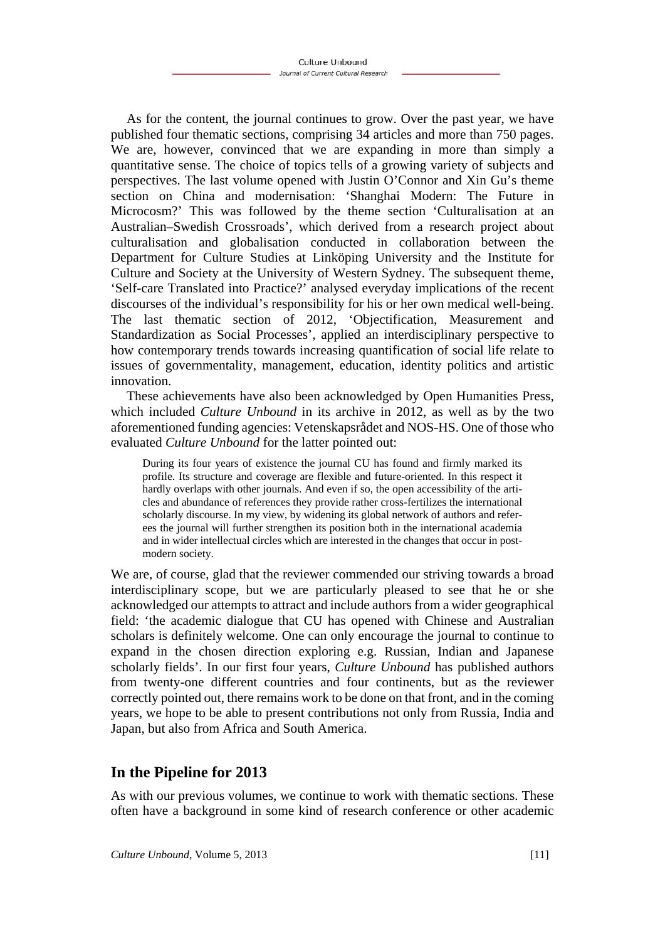As for the content, the journal continues to grow. Over the past year, we have published four thematic sections, comprising 34 articles and more than 750 pages. We are, however, convinced that we are expanding in more than simply a quantitative sense. The choice of topics tells of a growing variety of subjects and perspectives. The last volume opened with Justin O'Connor and Xin Gu's theme section on China and modernisation: 'Shanghai Modern: The Future in Microcosm?' This was followed by the theme section 'Culturalisation at an Australian–Swedish Crossroads', which derived from a research project about culturalisation and globalisation conducted in collaboration between the Department for Culture Studies at Linköping University and the Institute for Culture and Society at the University of Western Sydney. The subsequent theme, 'Self-care Translated into Practice?' analysed everyday implications of the recent discourses of the individual's responsibility for his or her own medical well-being. The last thematic section of 2012, 'Objectification, Measurement and Standardization as Social Processes', applied an interdisciplinary perspective to how contemporary trends towards increasing quantification of social life relate to issues of governmentality, management, education, identity politics and artistic innovation.

These achievements have also been acknowledged by Open Humanities Press, which included *Culture Unbound* in its archive in 2012, as well as by the two aforementioned funding agencies: Vetenskapsrådet and NOS-HS. One of those who evaluated *Culture Unbound* for the latter pointed out:

During its four years of existence the journal CU has found and firmly marked its profile. Its structure and coverage are flexible and future-oriented. In this respect it hardly overlaps with other journals. And even if so, the open accessibility of the articles and abundance of references they provide rather cross-fertilizes the international scholarly discourse. In my view, by widening its global network of authors and referees the journal will further strengthen its position both in the international academia and in wider intellectual circles which are interested in the changes that occur in postmodern society.

We are, of course, glad that the reviewer commended our striving towards a broad interdisciplinary scope, but we are particularly pleased to see that he or she acknowledged our attempts to attract and include authors from a wider geographical field: 'the academic dialogue that CU has opened with Chinese and Australian scholars is definitely welcome. One can only encourage the journal to continue to expand in the chosen direction exploring e.g. Russian, Indian and Japanese scholarly fields'. In our first four years, *Culture Unbound* has published authors from twenty-one different countries and four continents, but as the reviewer correctly pointed out, there remains work to be done on that front, and in the coming years, we hope to be able to present contributions not only from Russia, India and Japan, but also from Africa and South America.

## **In the Pipeline for 2013**

As with our previous volumes, we continue to work with thematic sections. These often have a background in some kind of research conference or other academic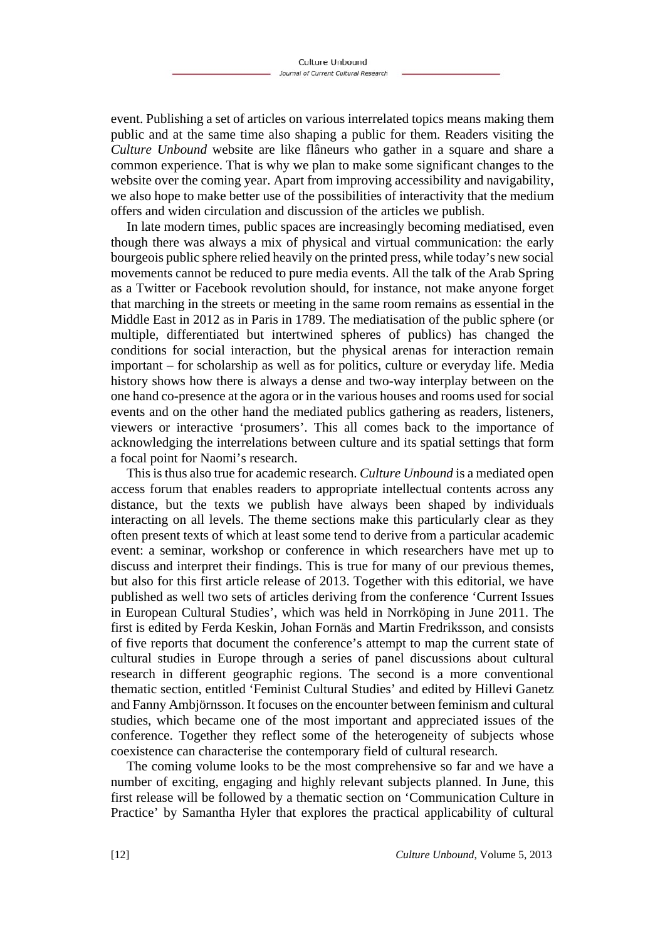event. Publishing a set of articles on various interrelated topics means making them public and at the same time also shaping a public for them. Readers visiting the *Culture Unbound* website are like flâneurs who gather in a square and share a common experience. That is why we plan to make some significant changes to the website over the coming year. Apart from improving accessibility and navigability, we also hope to make better use of the possibilities of interactivity that the medium offers and widen circulation and discussion of the articles we publish.

In late modern times, public spaces are increasingly becoming mediatised, even though there was always a mix of physical and virtual communication: the early bourgeois public sphere relied heavily on the printed press, while today's new social movements cannot be reduced to pure media events. All the talk of the Arab Spring as a Twitter or Facebook revolution should, for instance, not make anyone forget that marching in the streets or meeting in the same room remains as essential in the Middle East in 2012 as in Paris in 1789. The mediatisation of the public sphere (or multiple, differentiated but intertwined spheres of publics) has changed the conditions for social interaction, but the physical arenas for interaction remain important – for scholarship as well as for politics, culture or everyday life. Media history shows how there is always a dense and two-way interplay between on the one hand co-presence at the agora or in the various houses and rooms used for social events and on the other hand the mediated publics gathering as readers, listeners, viewers or interactive 'prosumers'. This all comes back to the importance of acknowledging the interrelations between culture and its spatial settings that form a focal point for Naomi's research.

This is thus also true for academic research. *Culture Unbound* is a mediated open access forum that enables readers to appropriate intellectual contents across any distance, but the texts we publish have always been shaped by individuals interacting on all levels. The theme sections make this particularly clear as they often present texts of which at least some tend to derive from a particular academic event: a seminar, workshop or conference in which researchers have met up to discuss and interpret their findings. This is true for many of our previous themes, but also for this first article release of 2013. Together with this editorial, we have published as well two sets of articles deriving from the conference 'Current Issues in European Cultural Studies', which was held in Norrköping in June 2011. The first is edited by Ferda Keskin, Johan Fornäs and Martin Fredriksson, and consists of five reports that document the conference's attempt to map the current state of cultural studies in Europe through a series of panel discussions about cultural research in different geographic regions. The second is a more conventional thematic section, entitled 'Feminist Cultural Studies' and edited by Hillevi Ganetz and Fanny Ambjörnsson. It focuses on the encounter between feminism and cultural studies, which became one of the most important and appreciated issues of the conference. Together they reflect some of the heterogeneity of subjects whose coexistence can characterise the contemporary field of cultural research.

The coming volume looks to be the most comprehensive so far and we have a number of exciting, engaging and highly relevant subjects planned. In June, this first release will be followed by a thematic section on 'Communication Culture in Practice' by Samantha Hyler that explores the practical applicability of cultural